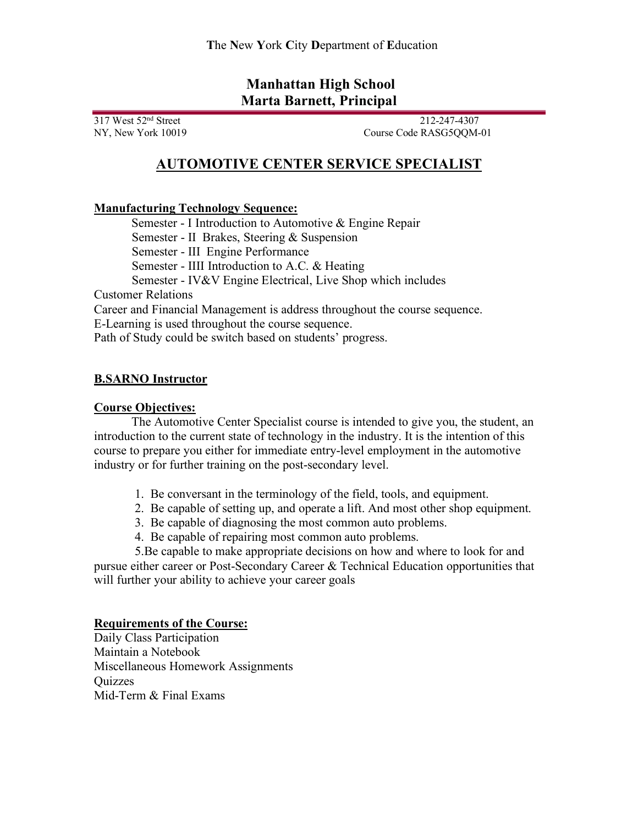## **Manhattan High School Marta Barnett, Principal**

317 West 52nd Street 212-247-4307 NY, New York 10019 Course Code RASG5QQM-01

# **AUTOMOTIVE CENTER SERVICE SPECIALIST**

### **Manufacturing Technology Sequence:**

Semester - I Introduction to Automotive & Engine Repair Semester - II Brakes, Steering & Suspension Semester - III Engine Performance Semester - IIII Introduction to A.C. & Heating Semester - IV&V Engine Electrical, Live Shop which includes Customer Relations

Career and Financial Management is address throughout the course sequence.

E-Learning is used throughout the course sequence.

Path of Study could be switch based on students' progress.

### **B.SARNO Instructor**

#### **Course Objectives:**

The Automotive Center Specialist course is intended to give you, the student, an introduction to the current state of technology in the industry. It is the intention of this course to prepare you either for immediate entry-level employment in the automotive industry or for further training on the post-secondary level.

- 1. Be conversant in the terminology of the field, tools, and equipment.
- 2. Be capable of setting up, and operate a lift. And most other shop equipment.
- 3. Be capable of diagnosing the most common auto problems.
- 4. Be capable of repairing most common auto problems.

 5.Be capable to make appropriate decisions on how and where to look for and pursue either career or Post-Secondary Career & Technical Education opportunities that will further your ability to achieve your career goals

### **Requirements of the Course:**

Daily Class Participation Maintain a Notebook Miscellaneous Homework Assignments **Ouizzes** Mid-Term & Final Exams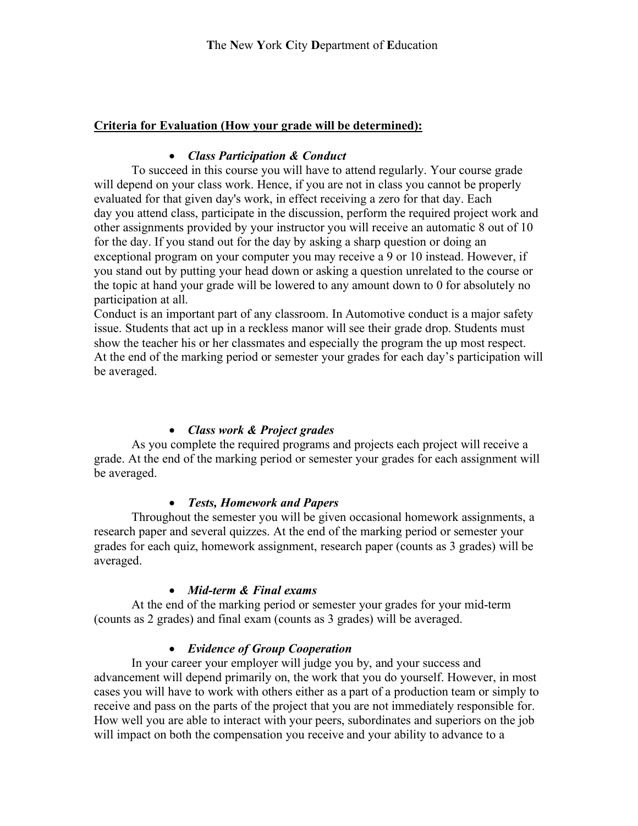### **Criteria for Evaluation (How your grade will be determined):**

### • *Class Participation & Conduct*

To succeed in this course you will have to attend regularly. Your course grade will depend on your class work. Hence, if you are not in class you cannot be properly evaluated for that given day's work, in effect receiving a zero for that day. Each day you attend class, participate in the discussion, perform the required project work and other assignments provided by your instructor you will receive an automatic 8 out of 10 for the day. If you stand out for the day by asking a sharp question or doing an exceptional program on your computer you may receive a 9 or 10 instead. However, if you stand out by putting your head down or asking a question unrelated to the course or the topic at hand your grade will be lowered to any amount down to 0 for absolutely no participation at all.

Conduct is an important part of any classroom. In Automotive conduct is a major safety issue. Students that act up in a reckless manor will see their grade drop. Students must show the teacher his or her classmates and especially the program the up most respect. At the end of the marking period or semester your grades for each day's participation will be averaged.

### • *Class work & Project grades*

As you complete the required programs and projects each project will receive a grade. At the end of the marking period or semester your grades for each assignment will be averaged.

### • *Tests, Homework and Papers*

Throughout the semester you will be given occasional homework assignments, a research paper and several quizzes. At the end of the marking period or semester your grades for each quiz, homework assignment, research paper (counts as 3 grades) will be averaged.

### • *Mid-term & Final exams*

At the end of the marking period or semester your grades for your mid-term (counts as 2 grades) and final exam (counts as 3 grades) will be averaged.

### • *Evidence of Group Cooperation*

In your career your employer will judge you by, and your success and advancement will depend primarily on, the work that you do yourself. However, in most cases you will have to work with others either as a part of a production team or simply to receive and pass on the parts of the project that you are not immediately responsible for. How well you are able to interact with your peers, subordinates and superiors on the job will impact on both the compensation you receive and your ability to advance to a